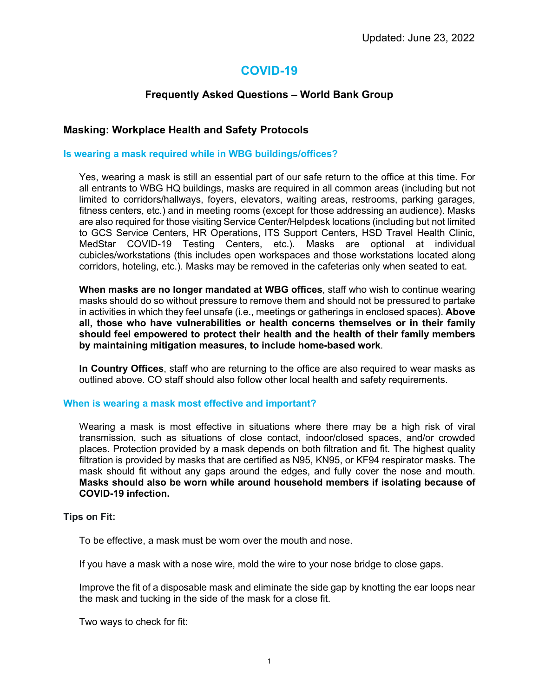# **COVID-19**

# **Frequently Asked Questions – World Bank Group**

# **Masking: Workplace Health and Safety Protocols**

### **Is wearing a mask required while in WBG buildings/offices?**

Yes, wearing a mask is still an essential part of our safe return to the office at this time. For all entrants to WBG HQ buildings, masks are required in all common areas (including but not limited to corridors/hallways, foyers, elevators, waiting areas, restrooms, parking garages, fitness centers, etc.) and in meeting rooms (except for those addressing an audience). Masks are also required for those visiting Service Center/Helpdesk locations (including but not limited to GCS Service Centers, HR Operations, ITS Support Centers, HSD Travel Health Clinic, MedStar COVID-19 Testing Centers, etc.). Masks are optional at individual cubicles/workstations (this includes open workspaces and those workstations located along corridors, hoteling, etc.). Masks may be removed in the cafeterias only when seated to eat.

**When masks are no longer mandated at WBG offices**, staff who wish to continue wearing masks should do so without pressure to remove them and should not be pressured to partake in activities in which they feel unsafe (i.e., meetings or gatherings in enclosed spaces). **Above all, those who have vulnerabilities or health concerns themselves or in their family should feel empowered to protect their health and the health of their family members by maintaining mitigation measures, to include home-based work**.

**In Country Offices**, staff who are returning to the office are also required to wear masks as outlined above. CO staff should also follow other local health and safety requirements.

### **When is wearing a mask most effective and important?**

Wearing a mask is most effective in situations where there may be a high risk of viral transmission, such as situations of close contact, indoor/closed spaces, and/or crowded places. Protection provided by a mask depends on both filtration and fit. The highest quality filtration is provided by masks that are certified as N95, KN95, or KF94 respirator masks. The mask should fit without any gaps around the edges, and fully cover the nose and mouth. **Masks should also be worn while around household members if isolating because of COVID-19 infection.**

### **Tips on Fit:**

To be effective, a mask must be worn over the mouth and nose.

If you have a mask with a nose wire, mold the wire to your nose bridge to close gaps.

Improve the fit of a disposable mask and eliminate the side gap by knotting the ear loops near the mask and tucking in the side of the mask for a close fit.

Two ways to check for fit: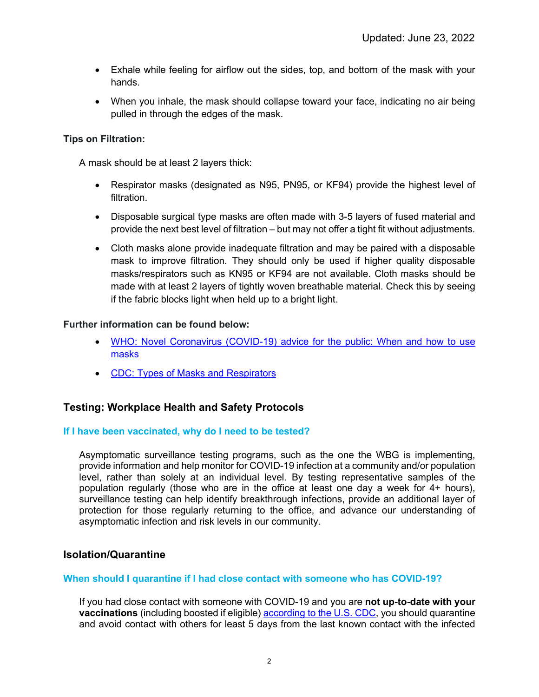- Exhale while feeling for airflow out the sides, top, and bottom of the mask with your hands.
- When you inhale, the mask should collapse toward your face, indicating no air being pulled in through the edges of the mask.

# **Tips on Filtration:**

A mask should be at least 2 layers thick:

- Respirator masks (designated as N95, PN95, or KF94) provide the highest level of filtration.
- Disposable surgical type masks are often made with 3-5 layers of fused material and provide the next best level of filtration – but may not offer a tight fit without adjustments.
- Cloth masks alone provide inadequate filtration and may be paired with a disposable mask to improve filtration. They should only be used if higher quality disposable masks/respirators such as KN95 or KF94 are not available. Cloth masks should be made with at least 2 layers of tightly woven breathable material. Check this by seeing if the fabric blocks light when held up to a bright light.

# **Further information can be found below:**

- [WHO: Novel Coronavirus \(COVID-19\) advice for the public: When and how to use](https://www.who.int/emergencies/diseases/novel-coronavirus-2019/advice-for-public/when-and-how-to-use-masks)  [masks](https://www.who.int/emergencies/diseases/novel-coronavirus-2019/advice-for-public/when-and-how-to-use-masks)
- [CDC: Types of Masks and Respirators](https://www.cdc.gov/coronavirus/2019-ncov/prevent-getting-sick/types-of-masks.html)

# **Testing: Workplace Health and Safety Protocols**

### **If I have been vaccinated, why do I need to be tested?**

Asymptomatic surveillance testing programs, such as the one the WBG is implementing, provide information and help monitor for COVID-19 infection at a community and/or population level, rather than solely at an individual level. By testing representative samples of the population regularly (those who are in the office at least one day a week for 4+ hours), surveillance testing can help identify breakthrough infections, provide an additional layer of protection for those regularly returning to the office, and advance our understanding of asymptomatic infection and risk levels in our community.

# **Isolation/Quarantine**

### **When should I quarantine if I had close contact with someone who has COVID-19?**

If you had close contact with someone with COVID-19 and you are **not up-to-date with your vaccinations** (including boosted if eligible) [according to the U.S. CDC,](https://www.cdc.gov/coronavirus/2019-ncov/your-health/quarantine-isolation.html) you should quarantine and avoid contact with others for least 5 days from the last known contact with the infected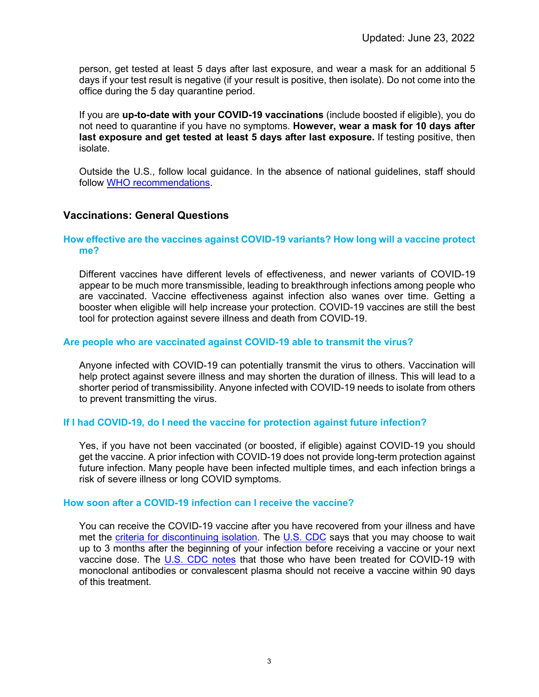person, get tested at least 5 days after last exposure, and wear a mask for an additional 5 days if your test result is negative (if your result is positive, then isolate). Do not come into the office during the 5 day quarantine period.

If you are **up-to-date with your COVID-19 vaccinations** (include boosted if eligible), you do not need to quarantine if you have no symptoms. **However, wear a mask for 10 days after last exposure and get tested at least 5 days after last exposure.** If testing positive, then isolate.

Outside the U.S., follow local guidance. In the absence of national guidelines, staff should follow [WHO recommendations.](https://www.who.int/emergencies/diseases/novel-coronavirus-2019/question-and-answers-hub/q-a-detail/coronavirus-disease-covid-19-pregnancy-and-childbirth)

# **Vaccinations: General Questions**

### **How effective are the vaccines against COVID-19 variants? How long will a vaccine protect me?**

Different vaccines have different levels of effectiveness, and newer variants of COVID-19 appear to be much more transmissible, leading to breakthrough infections among people who are vaccinated. Vaccine effectiveness against infection also wanes over time. Getting a booster when eligible will help increase your protection. COVID-19 vaccines are still the best tool for protection against severe illness and death from COVID-19.

### **Are people who are vaccinated against COVID-19 able to transmit the virus?**

Anyone infected with COVID-19 can potentially transmit the virus to others. Vaccination will help protect against severe illness and may shorten the duration of illness. This will lead to a shorter period of transmissibility. Anyone infected with COVID-19 needs to isolate from others to prevent transmitting the virus.

### **If I had COVID-19, do I need the vaccine for protection against future infection?**

Yes, if you have not been vaccinated (or boosted, if eligible) against COVID-19 you should get the vaccine. A prior infection with COVID-19 does not provide long-term protection against future infection. Many people have been infected multiple times, and each infection brings a risk of severe illness or long COVID symptoms.

### **How soon after a COVID-19 infection can I receive the vaccine?**

You can receive the COVID-19 vaccine after you have recovered from your illness and have met the [criteria for discontinuing isolation.](https://www.cdc.gov/coronavirus/2019-ncov/if-you-are-sick/end-home-isolation.html) The [U.S. CDC](https://www.cdc.gov/coronavirus/2019-ncov/vaccines/faq.html) says that you may choose to wait up to 3 months after the beginning of your infection before receiving a vaccine or your next vaccine dose. The [U.S. CDC notes](https://www.cdc.gov/coronavirus/2019-ncov/vaccines/faq.html) that those who have been treated for COVID-19 with monoclonal antibodies or convalescent plasma should not receive a vaccine within 90 days of this treatment.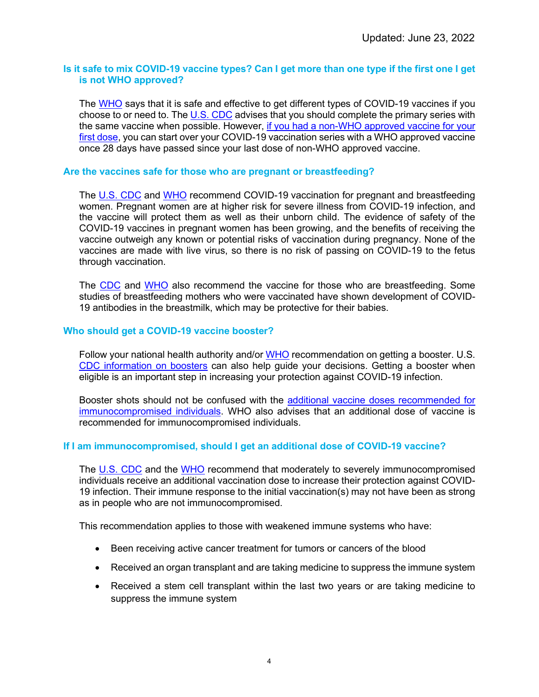### **Is it safe to mix COVID-19 vaccine types? Can I get more than one type if the first one I get is not WHO approved?**

The [WHO](https://www.who.int/news-room/questions-and-answers/item/coronavirus-disease-(covid-19)-vaccines) says that it is safe and effective to get different types of COVID-19 vaccines if you choose to or need to. The [U.S. CDC](https://www.cdc.gov/coronavirus/2019-ncov/vaccines/stay-up-to-date.html) advises that you should complete the primary series with the same vaccine when possible. However, if you had a non-WHO approved vaccine for your [first dose,](https://www.cdc.gov/coronavirus/2019-ncov/vaccines/people-vaccinated-abroad.html) you can start over your COVID-19 vaccination series with a WHO approved vaccine once 28 days have passed since your last dose of non-WHO approved vaccine.

### **Are the vaccines safe for those who are pregnant or breastfeeding?**

The [U.S. CDC](https://www.cdc.gov/coronavirus/2019-ncov/vaccines/recommendations/pregnancy.html) and [WHO](https://www.who.int/emergencies/diseases/novel-coronavirus-2019/question-and-answers-hub/q-a-detail/coronavirus-disease-covid-19-pregnancy-and-childbirth) recommend COVID-19 vaccination for pregnant and breastfeeding women. Pregnant women are at higher risk for severe illness from COVID-19 infection, and the vaccine will protect them as well as their unborn child. The evidence of safety of the COVID-19 vaccines in pregnant women has been growing, and the benefits of receiving the vaccine outweigh any known or potential risks of vaccination during pregnancy. None of the vaccines are made with live virus, so there is no risk of passing on COVID-19 to the fetus through vaccination.

The [CDC](https://www.cdc.gov/coronavirus/2019-ncov/vaccines/recommendations/pregnancy.html#anchor_1628692641537) and [WHO](https://www.who.int/emergencies/diseases/novel-coronavirus-2019/question-and-answers-hub/q-a-detail/coronavirus-disease-covid-19-breastfeeding) also recommend the vaccine for those who are breastfeeding. Some studies of breastfeeding mothers who were vaccinated have shown development of COVID-19 antibodies in the breastmilk, which may be protective for their babies.

#### **Who should get a COVID-19 vaccine booster?**

Follow your national health authority and/or [WHO](https://www.who.int/news-room/questions-and-answers/item/coronavirus-disease-(covid-19)-vaccines) recommendation on getting a booster. U.S. [CDC information on boosters](https://www.cdc.gov/coronavirus/2019-ncov/vaccines/booster-shot.html) can also help guide your decisions. Getting a booster when eligible is an important step in increasing your protection against COVID-19 infection.

Booster shots should not be confused with the [additional vaccine doses recommended for](https://www.cdc.gov/coronavirus/2019-ncov/vaccines/recommendations/immuno.html)  [immunocompromised individuals.](https://www.cdc.gov/coronavirus/2019-ncov/vaccines/recommendations/immuno.html) WHO also advises that an additional dose of vaccine is recommended for immunocompromised individuals.

### **If I am immunocompromised, should I get an additional dose of COVID-19 vaccine?**

The [U.S. CDC](https://www.cdc.gov/coronavirus/2019-ncov/vaccines/recommendations/immuno.html) and the [WHO](https://www.who.int/news-room/questions-and-answers/item/coronavirus-disease-(covid-19)-vaccines) recommend that moderately to severely immunocompromised individuals receive an additional vaccination dose to increase their protection against COVID-19 infection. Their immune response to the initial vaccination(s) may not have been as strong as in people who are not immunocompromised.

This recommendation applies to those with weakened immune systems who have:

- Been receiving active cancer treatment for tumors or cancers of the blood
- Received an organ transplant and are taking medicine to suppress the immune system
- Received a stem cell transplant within the last two years or are taking medicine to suppress the immune system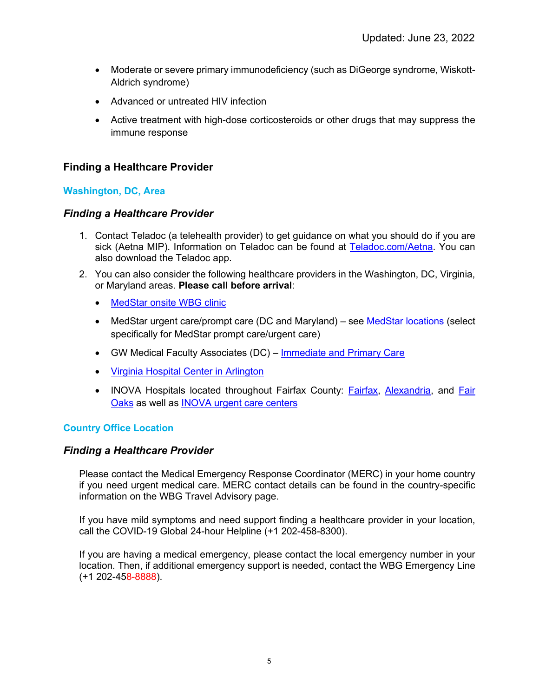- Moderate or severe primary immunodeficiency (such as DiGeorge syndrome, Wiskott-Aldrich syndrome)
- Advanced or untreated HIV infection
- Active treatment with high-dose corticosteroids or other drugs that may suppress the immune response

# **Finding a Healthcare Provider**

# **Washington, DC, Area**

# *Finding a Healthcare Provider*

- 1. Contact Teladoc (a telehealth provider) to get guidance on what you should do if you are sick (Aetna MIP). Information on Teladoc can be found at [Teladoc.com/Aetna.](https://member.teladoc.com/aetna) You can also download the Teladoc app.
- 2. You can also consider the following healthcare providers in the Washington, DC, Virginia, or Maryland areas. **Please call before arrival**:
	- [MedStar onsite WBG clinic](http://medstarmedicalgroup.org/WorldBank)
	- MedStar urgent care/prompt care (DC and Maryland) see [MedStar locations](https://www.medstarhealth.org/mhs/our-locations/) (select specifically for MedStar prompt care/urgent care)
	- GW Medical Faculty Associates (DC) [Immediate and Primary Care](https://gwdocsipc.com/)
	- [Virginia Hospital Center in Arlington](https://www.virginiahospitalcenter.com/)
	- INOVA Hospitals located throughout Fairfax County: [Fairfax,](https://www.inova.org/locations/inova-fairfax-medical-campus) [Alexandria,](https://www.inova.org/locations/inova-alexandria-hospital) and Fair [Oaks](https://www.inova.org/locations/inova-fair-oaks-hospital) as well as [INOVA urgent care centers](https://www.inova.org/our-services/inova-urgent-care)

# **Country Office Location**

### *Finding a Healthcare Provider*

Please contact the Medical Emergency Response Coordinator (MERC) in your home country if you need urgent medical care. MERC contact details can be found in the country-specific information on the WBG Travel Advisory page.

If you have mild symptoms and need support finding a healthcare provider in your location, call the COVID-19 Global 24-hour Helpline (+1 202-458-8300).

If you are having a medical emergency, please contact the local emergency number in your location. Then, if additional emergency support is needed, contact the WBG Emergency Line (+1 202-458-8888).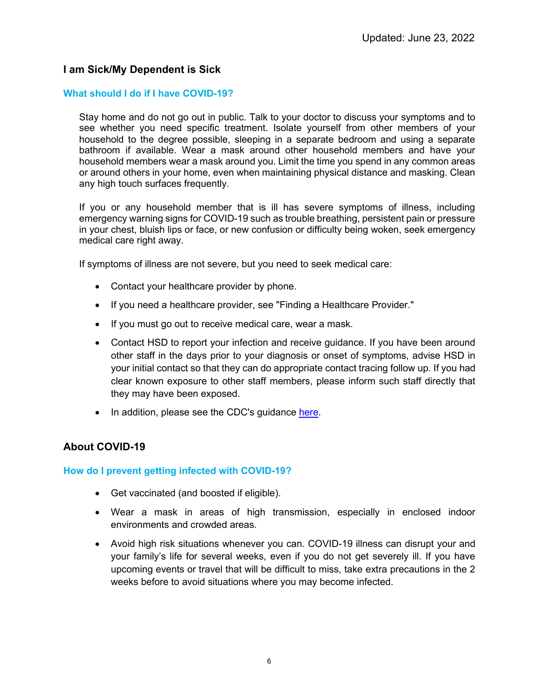# **I am Sick/My Dependent is Sick**

### **What should I do if I have COVID-19?**

Stay home and do not go out in public. Talk to your doctor to discuss your symptoms and to see whether you need specific treatment. Isolate yourself from other members of your household to the degree possible, sleeping in a separate bedroom and using a separate bathroom if available. Wear a mask around other household members and have your household members wear a mask around you. Limit the time you spend in any common areas or around others in your home, even when maintaining physical distance and masking. Clean any high touch surfaces frequently.

If you or any household member that is ill has severe symptoms of illness, including emergency warning signs for COVID-19 such as trouble breathing, persistent pain or pressure in your chest, bluish lips or face, or new confusion or difficulty being woken, seek emergency medical care right away.

If symptoms of illness are not severe, but you need to seek medical care:

- Contact your healthcare provider by phone.
- If you need a healthcare provider, see "Finding a Healthcare Provider."
- If you must go out to receive medical care, wear a mask.
- Contact HSD to report your infection and receive guidance. If you have been around other staff in the days prior to your diagnosis or onset of symptoms, advise HSD in your initial contact so that they can do appropriate contact tracing follow up. If you had clear known exposure to other staff members, please inform such staff directly that they may have been exposed.
- In addition, please see the CDC's guidance [here.](https://www.cdc.gov/coronavirus/2019-ncov/downloads/sick-with-2019-nCoV-fact-sheet.pdf)

### **About COVID-19**

### **How do I prevent getting infected with COVID-19?**

- Get vaccinated (and boosted if eligible).
- Wear a mask in areas of high transmission, especially in enclosed indoor environments and crowded areas.
- Avoid high risk situations whenever you can. COVID-19 illness can disrupt your and your family's life for several weeks, even if you do not get severely ill. If you have upcoming events or travel that will be difficult to miss, take extra precautions in the 2 weeks before to avoid situations where you may become infected.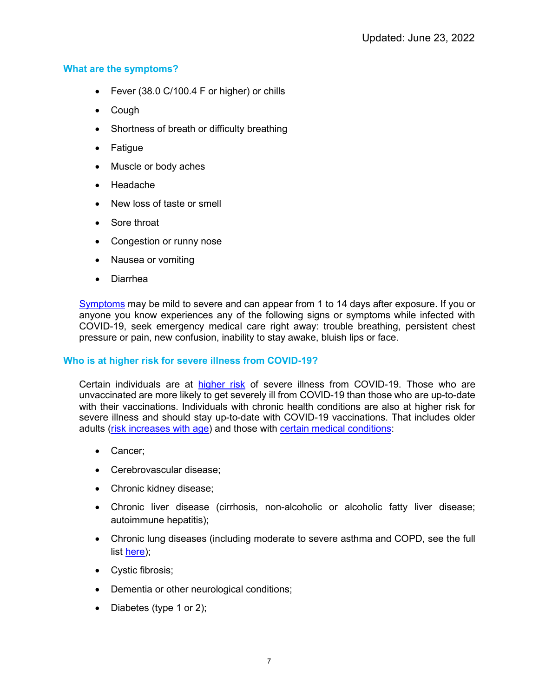# **What are the symptoms?**

- Fever (38.0 C/100.4 F or higher) or chills
- Cough
- Shortness of breath or difficulty breathing
- Fatigue
- Muscle or body aches
- Headache
- New loss of taste or smell
- Sore throat
- Congestion or runny nose
- Nausea or vomiting
- Diarrhea

[Symptoms](https://www.cdc.gov/coronavirus/2019-ncov/symptoms-testing/symptoms.html) may be mild to severe and can appear from 1 to 14 days after exposure. If you or anyone you know experiences any of the following signs or symptoms while infected with COVID-19, seek emergency medical care right away: trouble breathing, persistent chest pressure or pain, new confusion, inability to stay awake, bluish lips or face.

### **Who is at higher risk for severe illness from COVID-19?**

Certain individuals are at [higher risk](https://www.cdc.gov/coronavirus/2019-ncov/need-extra-precautions/index.html) of severe illness from COVID-19. Those who are unvaccinated are more likely to get severely ill from COVID-19 than those who are up-to-date with their vaccinations. Individuals with chronic health conditions are also at higher risk for severe illness and should stay up-to-date with COVID-19 vaccinations. That includes older adults [\(risk increases with age\)](https://www.cdc.gov/coronavirus/2019-ncov/need-extra-precautions/older-adults.html) and those with [certain medical conditions:](https://www.cdc.gov/coronavirus/2019-ncov/need-extra-precautions/people-with-medical-conditions.html)

- Cancer;
- Cerebrovascular disease;
- Chronic kidney disease;
- Chronic liver disease (cirrhosis, non-alcoholic or alcoholic fatty liver disease; autoimmune hepatitis);
- Chronic lung diseases (including moderate to severe asthma and COPD, see the full list [here\)](https://www.cdc.gov/coronavirus/2019-ncov/need-extra-precautions/people-with-medical-conditions.html);
- Cystic fibrosis;
- Dementia or other neurological conditions;
- Diabetes (type 1 or 2);